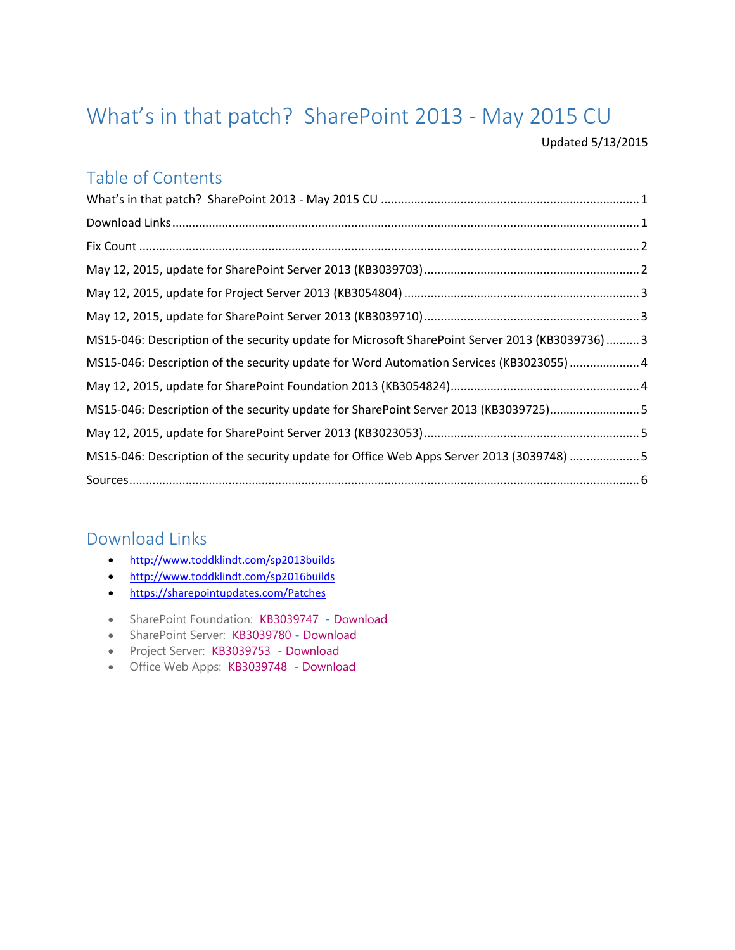# <span id="page-0-0"></span>What's in that patch? SharePoint 2013 - May 2015 CU

#### Updated 5/13/2015

### Table of Contents

| MS15-046: Description of the security update for Microsoft SharePoint Server 2013 (KB3039736)  3 |  |
|--------------------------------------------------------------------------------------------------|--|
| MS15-046: Description of the security update for Word Automation Services (KB3023055)  4         |  |
|                                                                                                  |  |
| MS15-046: Description of the security update for SharePoint Server 2013 (KB3039725)5             |  |
|                                                                                                  |  |
| MS15-046: Description of the security update for Office Web Apps Server 2013 (3039748) 5         |  |
|                                                                                                  |  |

## <span id="page-0-1"></span>Download Links

- <http://www.toddklindt.com/sp2013builds>
- <http://www.toddklindt.com/sp2016builds>
- <https://sharepointupdates.com/Patches>
- SharePoint Foundation: [KB3039747](http://support.microsoft.com/KB/3039747)  [Download](http://www.microsoft.com/en-us/download/details.aspx?id=47238)
- SharePoint Server: [KB3039780](http://support.microsoft.com/KB/3039780) [Download](http://www.microsoft.com/en-us/download/details.aspx?id=47213)
- Project Server: [KB3039753](http://support.microsoft.com/KB/3039753)  [Download](http://www.microsoft.com/en-us/download/details.aspx?id=47215)
- Office Web Apps: [KB3039748](http://support.microsoft.com/KB/3039748)  [Download](http://www.microsoft.com/en-us/download/details.aspx?id=47215)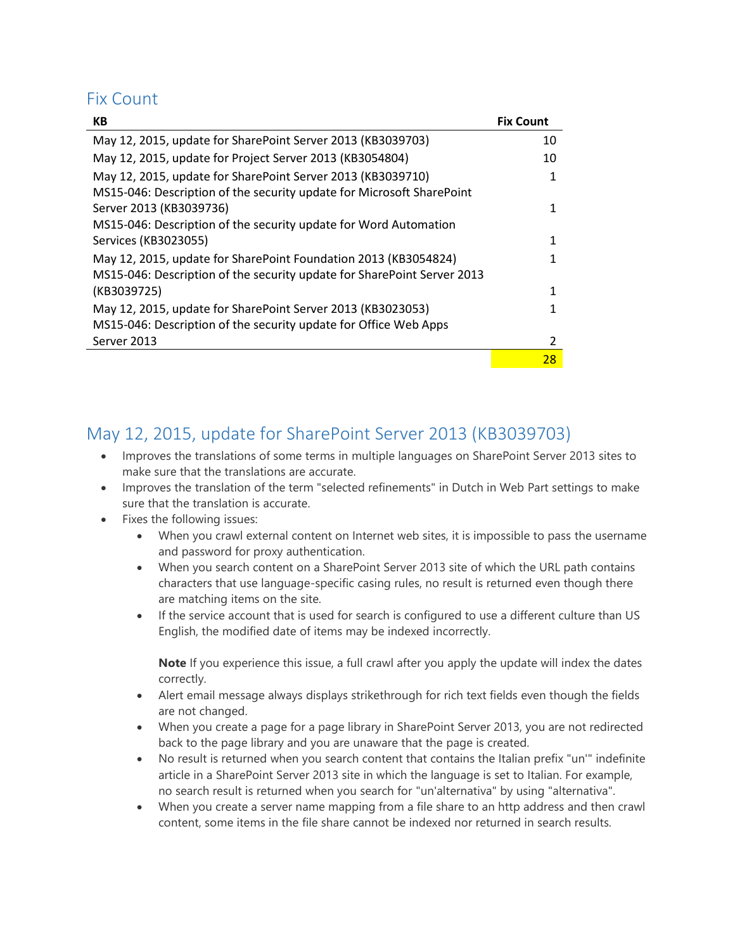### <span id="page-1-0"></span>Fix Count

| <b>KB</b>                                                               | <b>Fix Count</b> |
|-------------------------------------------------------------------------|------------------|
| May 12, 2015, update for SharePoint Server 2013 (KB3039703)             | 10               |
| May 12, 2015, update for Project Server 2013 (KB3054804)                | 10               |
| May 12, 2015, update for SharePoint Server 2013 (KB3039710)             | 1                |
| MS15-046: Description of the security update for Microsoft SharePoint   |                  |
| Server 2013 (KB3039736)                                                 |                  |
| MS15-046: Description of the security update for Word Automation        |                  |
| Services (KB3023055)                                                    | 1                |
| May 12, 2015, update for SharePoint Foundation 2013 (KB3054824)         |                  |
| MS15-046: Description of the security update for SharePoint Server 2013 |                  |
| (KB3039725)                                                             | $\mathbf{1}$     |
| May 12, 2015, update for SharePoint Server 2013 (KB3023053)             |                  |
| MS15-046: Description of the security update for Office Web Apps        |                  |
| Server 2013                                                             | 2                |
|                                                                         | 28               |

### <span id="page-1-1"></span>May 12, 2015, update for SharePoint Server 2013 (KB3039703)

- Improves the translations of some terms in multiple languages on SharePoint Server 2013 sites to make sure that the translations are accurate.
- Improves the translation of the term "selected refinements" in Dutch in Web Part settings to make sure that the translation is accurate.
- Fixes the following issues:
	- When you crawl external content on Internet web sites, it is impossible to pass the username and password for proxy authentication.
	- When you search content on a SharePoint Server 2013 site of which the URL path contains characters that use language-specific casing rules, no result is returned even though there are matching items on the site.
	- If the service account that is used for search is configured to use a different culture than US English, the modified date of items may be indexed incorrectly.

**Note** If you experience this issue, a full crawl after you apply the update will index the dates correctly.

- Alert email message always displays strikethrough for rich text fields even though the fields are not changed.
- When you create a page for a page library in SharePoint Server 2013, you are not redirected back to the page library and you are unaware that the page is created.
- No result is returned when you search content that contains the Italian prefix "un'" indefinite article in a SharePoint Server 2013 site in which the language is set to Italian. For example, no search result is returned when you search for "un'alternativa" by using "alternativa".
- When you create a server name mapping from a file share to an http address and then crawl content, some items in the file share cannot be indexed nor returned in search results.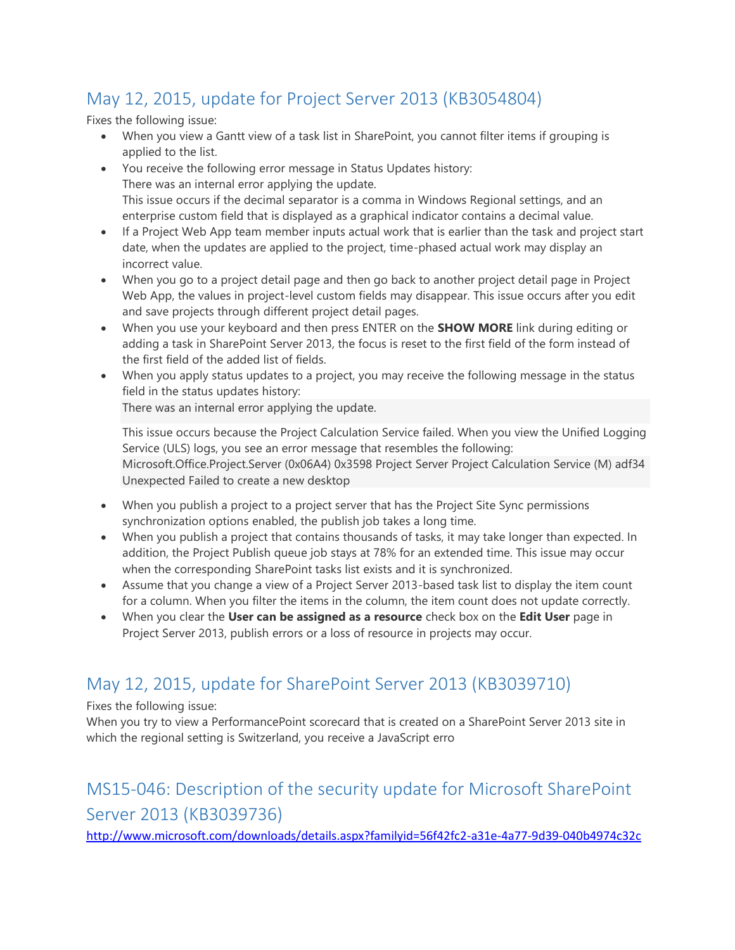## <span id="page-2-0"></span>May 12, 2015, update for Project Server 2013 (KB3054804)

Fixes the following issue:

- When you view a Gantt view of a task list in SharePoint, you cannot filter items if grouping is applied to the list.
- You receive the following error message in Status Updates history: There was an internal error applying the update. This issue occurs if the decimal separator is a comma in Windows Regional settings, and an enterprise custom field that is displayed as a graphical indicator contains a decimal value.
- If a Project Web App team member inputs actual work that is earlier than the task and project start date, when the updates are applied to the project, time-phased actual work may display an incorrect value.
- When you go to a project detail page and then go back to another project detail page in Project Web App, the values in project-level custom fields may disappear. This issue occurs after you edit and save projects through different project detail pages.
- When you use your keyboard and then press ENTER on the **SHOW MORE** link during editing or adding a task in SharePoint Server 2013, the focus is reset to the first field of the form instead of the first field of the added list of fields.
- When you apply status updates to a project, you may receive the following message in the status field in the status updates history:

There was an internal error applying the update.

This issue occurs because the Project Calculation Service failed. When you view the Unified Logging Service (ULS) logs, you see an error message that resembles the following: Microsoft.Office.Project.Server (0x06A4) 0x3598 Project Server Project Calculation Service (M) adf34 Unexpected Failed to create a new desktop

- When you publish a project to a project server that has the Project Site Sync permissions synchronization options enabled, the publish job takes a long time.
- When you publish a project that contains thousands of tasks, it may take longer than expected. In addition, the Project Publish queue job stays at 78% for an extended time. This issue may occur when the corresponding SharePoint tasks list exists and it is synchronized.
- Assume that you change a view of a Project Server 2013-based task list to display the item count for a column. When you filter the items in the column, the item count does not update correctly.
- When you clear the **User can be assigned as a resource** check box on the **Edit User** page in Project Server 2013, publish errors or a loss of resource in projects may occur.

## <span id="page-2-1"></span>May 12, 2015, update for SharePoint Server 2013 (KB3039710)

Fixes the following issue:

When you try to view a PerformancePoint scorecard that is created on a SharePoint Server 2013 site in which the regional setting is Switzerland, you receive a JavaScript erro

## <span id="page-2-2"></span>MS15-046: Description of the security update for Microsoft SharePoint Server 2013 (KB3039736)

<http://www.microsoft.com/downloads/details.aspx?familyid=56f42fc2-a31e-4a77-9d39-040b4974c32c>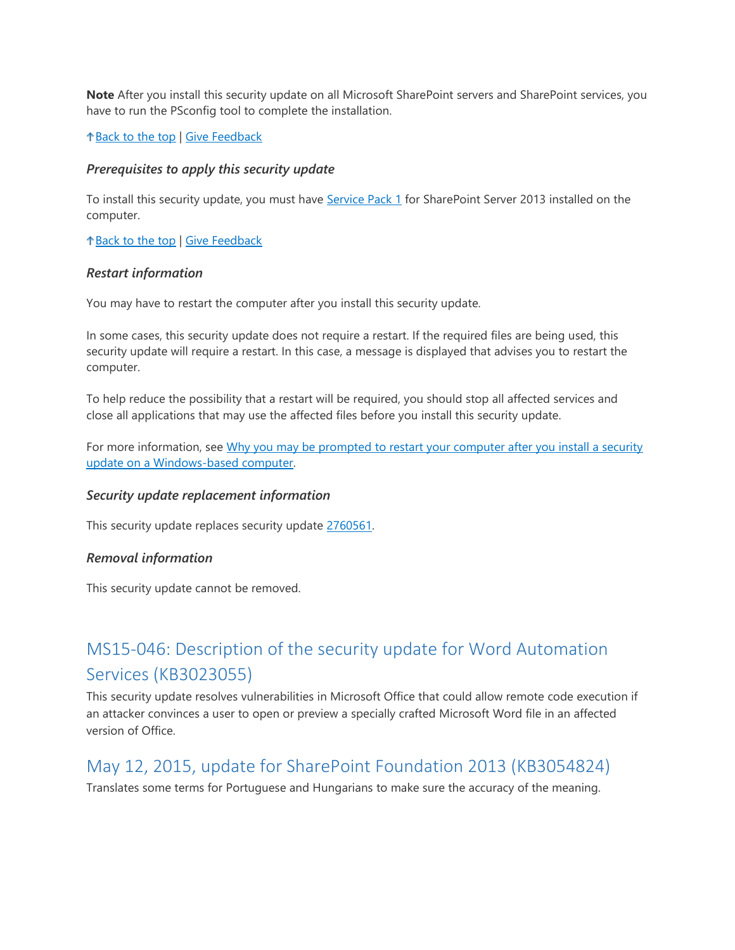**Note** After you install this security update on all Microsoft SharePoint servers and SharePoint services, you have to run the PSconfig tool to complete the installation.

[Back to the top](https://support.microsoft.com/en-us/kb/3039736#top) | [Give Feedback](https://support.microsoft.com/en-us/kb/3039736#survey)

#### *Prerequisites to apply this security update*

To install this security update, you must have [Service Pack 1](http://support.microsoft.com/en-us/kb/2880552) for SharePoint Server 2013 installed on the computer.

[Back to the top](https://support.microsoft.com/en-us/kb/3039736#top) | [Give Feedback](https://support.microsoft.com/en-us/kb/3039736#survey)

#### *Restart information*

You may have to restart the computer after you install this security update.

In some cases, this security update does not require a restart. If the required files are being used, this security update will require a restart. In this case, a message is displayed that advises you to restart the computer.

To help reduce the possibility that a restart will be required, you should stop all affected services and close all applications that may use the affected files before you install this security update.

For more information, see Why you may be prompted to restart your computer after you install a security [update on a Windows-based computer.](https://support.microsoft.com/kb/887012)

#### *Security update replacement information*

This security update replaces security update [2760561.](https://support.microsoft.com/en-us/kb/2760561)

#### *Removal information*

This security update cannot be removed.

## <span id="page-3-0"></span>MS15-046: Description of the security update for Word Automation Services (KB3023055)

This security update resolves vulnerabilities in Microsoft Office that could allow remote code execution if an attacker convinces a user to open or preview a specially crafted Microsoft Word file in an affected version of Office.

### <span id="page-3-1"></span>May 12, 2015, update for SharePoint Foundation 2013 (KB3054824)

Translates some terms for Portuguese and Hungarians to make sure the accuracy of the meaning.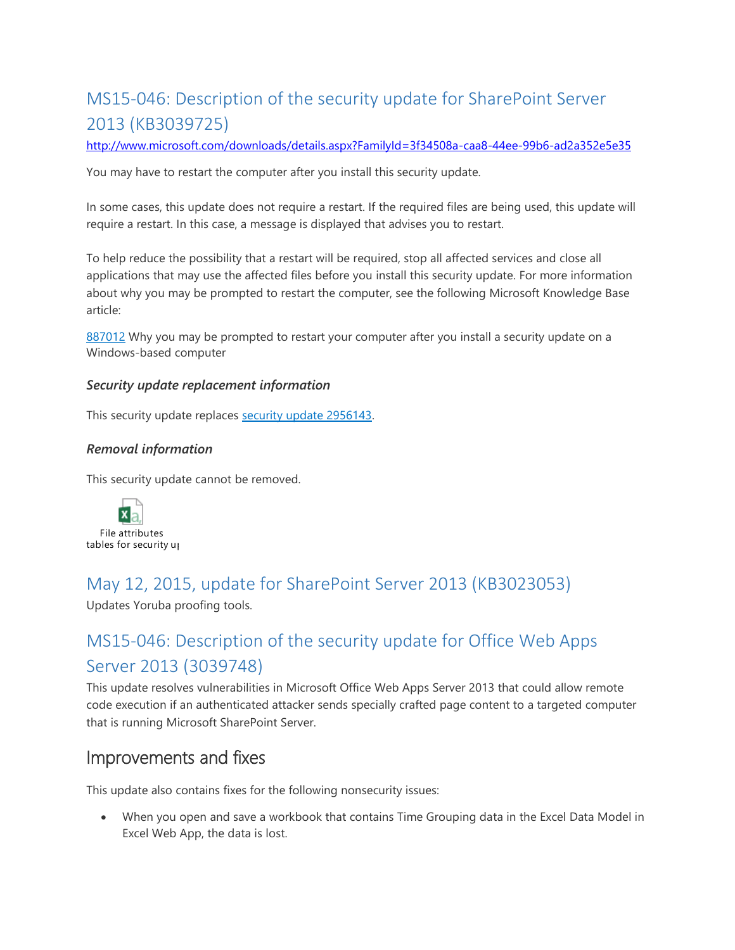## <span id="page-4-0"></span>MS15-046: Description of the security update for SharePoint Server 2013 (KB3039725)

<http://www.microsoft.com/downloads/details.aspx?FamilyId=3f34508a-caa8-44ee-99b6-ad2a352e5e35>

You may have to restart the computer after you install this security update.

In some cases, this update does not require a restart. If the required files are being used, this update will require a restart. In this case, a message is displayed that advises you to restart.

To help reduce the possibility that a restart will be required, stop all affected services and close all applications that may use the affected files before you install this security update. For more information about why you may be prompted to restart the computer, see the following Microsoft Knowledge Base article:

[887012](https://support.microsoft.com/kb/887012) Why you may be prompted to restart your computer after you install a security update on a Windows-based computer

#### *Security update replacement information*

This security update replaces [security update 2956143.](http://support.microsoft.com/kb/2956143)

#### *Removal information*

This security update cannot be removed.



### <span id="page-4-1"></span>May 12, 2015, update for SharePoint Server 2013 (KB3023053)

Updates Yoruba proofing tools.

## <span id="page-4-2"></span>MS15-046: Description of the security update for Office Web Apps Server 2013 (3039748)

This update resolves vulnerabilities in Microsoft Office Web Apps Server 2013 that could allow remote code execution if an authenticated attacker sends specially crafted page content to a targeted computer that is running Microsoft SharePoint Server.

### Improvements and fixes

This update also contains fixes for the following nonsecurity issues:

 When you open and save a workbook that contains Time Grouping data in the Excel Data Model in Excel Web App, the data is lost.